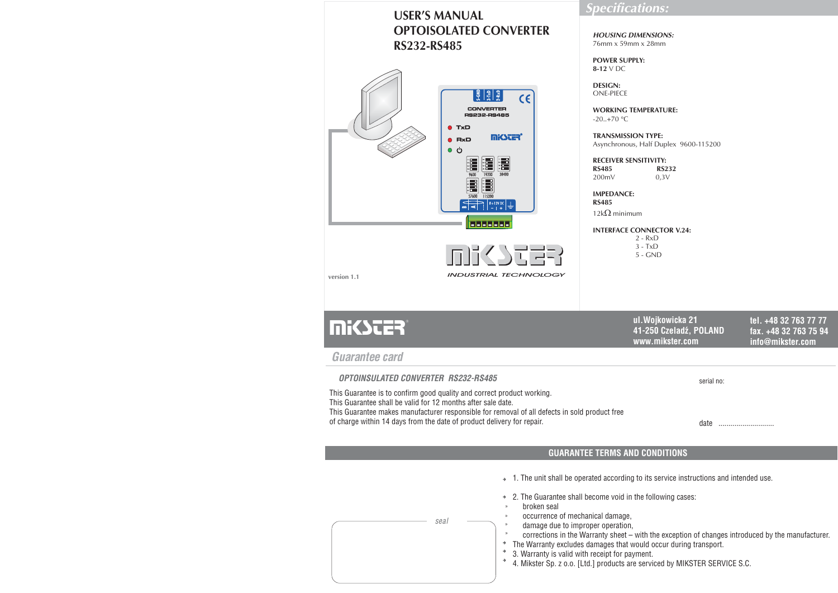# **USER'S MANUAL OPTOISOLATED CONVERTERRS -RS 232 485**



## *Specifications:*

*HOUSING DIMENSIONS:*76mm x 59mm x 28mm

**POWER SUPPLY:8-12**V DC

**DESIGN:**ONE-PIECE

> **WORKING TEMPERATURE:** -20..+70 C

**TRANSMISSION TYPE:** Asynchronous, Half Duplex 9600-115200

**RECEIVER SENSITIVITY: RS485 RS232**200mV 0,3V

**IMPEDANCE:RS485**

12k $\Omega$  minimum

**INTERFACE CONNECTOR V.24:** 2 - RxD 3 - TxD5 - GND

| <b>Mikster</b> | ul.Woikowicka 21<br>41-250 Czeladź, POLAND<br>www.mikster.com | tel. +48 32 763 77 77<br>fax. +48 32 763 75 94<br>info@mikster.com |
|----------------|---------------------------------------------------------------|--------------------------------------------------------------------|
| Cuarantoo card |                                                               |                                                                    |

*Guarantee card*

serial no: *OPTOINSULATED CONVERTER RS232-RS485* This Guarantee is to confirm good quality and correct product working. This Guarantee shall be valid for 12 months after sale date. This Guarantee makes manufacturer responsible for removal of all defects in sold product free of charge within 14 days from the date of product delivery for repair.

date ............................

### **GUARANTEE TERMS AND CONDITIONS**

 $\rightarrow$  1. The unit shall be operated according to its service instructions and intended use.

 $\rightarrow$  2. The Guarantee shall become void in the following cases:

broken seal

»»

*seal*

- occurrence of mechanical damage,
- damage due to improper operation,
- corrections in the Warranty sheet with the exception of changes introduced by the manufacturer.
- $\rightarrow$ The Warranty excludes damages that would occur during transport.
- 3. Warranty is valid with receipt for payment.
- 4. Mikster Sp. <sup>z</sup> o.o. [Ltd.] products are serviced by MIKSTER SERVICE S.C.